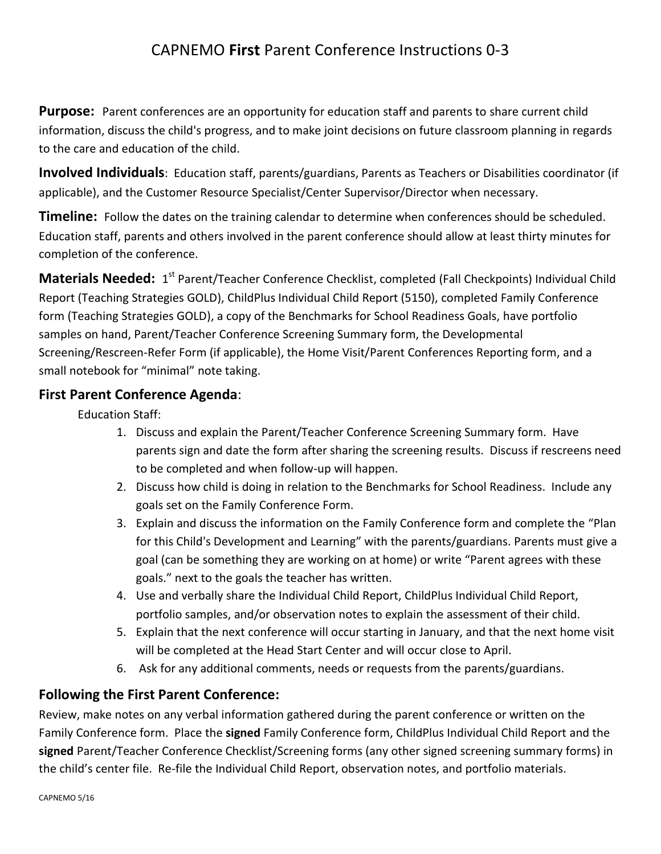## CAPNEMO **First** Parent Conference Instructions 0-3

**Purpose:** Parent conferences are an opportunity for education staff and parents to share current child information, discuss the child's progress, and to make joint decisions on future classroom planning in regards to the care and education of the child.

**Involved Individuals**: Education staff, parents/guardians, Parents as Teachers or Disabilities coordinator (if applicable), and the Customer Resource Specialist/Center Supervisor/Director when necessary.

**Timeline:** Follow the dates on the training calendar to determine when conferences should be scheduled. Education staff, parents and others involved in the parent conference should allow at least thirty minutes for completion of the conference.

**Materials Needed:** 1<sup>st</sup> Parent/Teacher Conference Checklist, completed (Fall Checkpoints) Individual Child Report (Teaching Strategies GOLD), ChildPlus Individual Child Report (5150), completed Family Conference form (Teaching Strategies GOLD), a copy of the Benchmarks for School Readiness Goals, have portfolio samples on hand, Parent/Teacher Conference Screening Summary form, the Developmental Screening/Rescreen-Refer Form (if applicable), the Home Visit/Parent Conferences Reporting form, and a small notebook for "minimal" note taking.

## **First Parent Conference Agenda**:

Education Staff:

- 1. Discuss and explain the Parent/Teacher Conference Screening Summary form. Have parents sign and date the form after sharing the screening results. Discuss if rescreens need to be completed and when follow-up will happen.
- 2. Discuss how child is doing in relation to the Benchmarks for School Readiness. Include any goals set on the Family Conference Form.
- 3. Explain and discuss the information on the Family Conference form and complete the "Plan for this Child's Development and Learning" with the parents/guardians. Parents must give a goal (can be something they are working on at home) or write "Parent agrees with these goals." next to the goals the teacher has written.
- 4. Use and verbally share the Individual Child Report, ChildPlus Individual Child Report, portfolio samples, and/or observation notes to explain the assessment of their child.
- 5. Explain that the next conference will occur starting in January, and that the next home visit will be completed at the Head Start Center and will occur close to April.
- 6. Ask for any additional comments, needs or requests from the parents/guardians.

## **Following the First Parent Conference:**

Review, make notes on any verbal information gathered during the parent conference or written on the Family Conference form. Place the **signed** Family Conference form, ChildPlus Individual Child Report and the **signed** Parent/Teacher Conference Checklist/Screening forms (any other signed screening summary forms) in the child's center file. Re-file the Individual Child Report, observation notes, and portfolio materials.